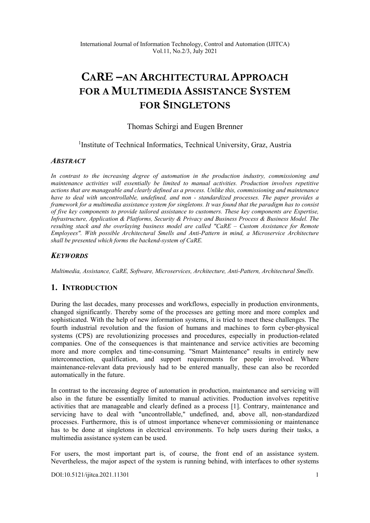# **CARE –AN ARCHITECTURAL APPROACH FOR A MULTIMEDIA ASSISTANCE SYSTEM FOR SINGLETONS**

# Thomas Schirgi and Eugen Brenner

<sup>1</sup>Institute of Technical Informatics, Technical University, Graz, Austria

#### *ABSTRACT*

*In contrast to the increasing degree of automation in the production industry, commissioning and maintenance activities will essentially be limited to manual activities. Production involves repetitive actions that are manageable and clearly defined as a process. Unlike this, commissioning and maintenance have to deal with uncontrollable, undefined, and non - standardized processes. The paper provides a framework for a multimedia assistance system for singletons. It was found that the paradigm has to consist of five key components to provide tailored assistance to customers. These key components are Expertise, Infrastructure, Application & Platforms, Security & Privacy and Business Process & Business Model. The resulting stack and the overlaying business model are called "CaRE – Custom Assistance for Remote Employees". With possible Architectural Smells and Anti-Pattern in mind, a Microservice Architecture shall be presented which forms the backend-system of CaRE.* 

# *KEYWORDS*

*Multimedia, Assistance, CaRE, Software, Microservices, Architecture, Anti-Pattern, Architectural Smells.* 

# **1. INTRODUCTION**

During the last decades, many processes and workflows, especially in production environments, changed significantly. Thereby some of the processes are getting more and more complex and sophisticated. With the help of new information systems, it is tried to meet these challenges. The fourth industrial revolution and the fusion of humans and machines to form cyber-physical systems (CPS) are revolutionizing processes and procedures, especially in production-related companies. One of the consequences is that maintenance and service activities are becoming more and more complex and time-consuming. "Smart Maintenance" results in entirely new interconnection, qualification, and support requirements for people involved. Where maintenance-relevant data previously had to be entered manually, these can also be recorded automatically in the future.

In contrast to the increasing degree of automation in production, maintenance and servicing will also in the future be essentially limited to manual activities. Production involves repetitive activities that are manageable and clearly defined as a process [1]. Contrary, maintenance and servicing have to deal with "uncontrollable," undefined, and, above all, non-standardized processes. Furthermore, this is of utmost importance whenever commissioning or maintenance has to be done at singletons in electrical environments. To help users during their tasks, a multimedia assistance system can be used.

For users, the most important part is, of course, the front end of an assistance system. Nevertheless, the major aspect of the system is running behind, with interfaces to other systems

[DOI:10.5121/ijitca.2021.11301](https://doi.org/10.5121/ijitca.2021.11301) 1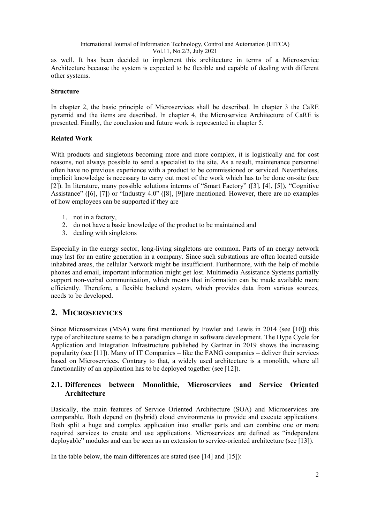as well. It has been decided to implement this architecture in terms of a Microservice Architecture because the system is expected to be flexible and capable of dealing with different other systems.

#### **Structure**

In chapter 2, the basic principle of Microservices shall be described. In chapter 3 the CaRE pyramid and the items are described. In chapter 4, the Microservice Architecture of CaRE is presented. Finally, the conclusion and future work is represented in chapter 5.

#### **Related Work**

With products and singletons becoming more and more complex, it is logistically and for cost reasons, not always possible to send a specialist to the site. As a result, maintenance personnel often have no previous experience with a product to be commissioned or serviced. Nevertheless, implicit knowledge is necessary to carry out most of the work which has to be done on-site (see [2]). In literature, many possible solutions interms of "Smart Factory" ([3], [4], [5]), "Cognitive Assistance" ([6], [7]) or "Industry 4.0" ([8], [9])are mentioned. However, there are no examples of how employees can be supported if they are

- 1. not in a factory,
- 2. do not have a basic knowledge of the product to be maintained and
- 3. dealing with singletons

Especially in the energy sector, long-living singletons are common. Parts of an energy network may last for an entire generation in a company. Since such substations are often located outside inhabited areas, the cellular Network might be insufficient. Furthermore, with the help of mobile phones and email, important information might get lost. Multimedia Assistance Systems partially support non-verbal communication, which means that information can be made available more efficiently. Therefore, a flexible backend system, which provides data from various sources, needs to be developed.

# **2. MICROSERVICES**

Since Microservices (MSA) were first mentioned by Fowler and Lewis in 2014 (see [10]) this type of architecture seems to be a paradigm change in software development. The Hype Cycle for Application and Integration Infrastructure published by Gartner in 2019 shows the increasing popularity (see [11]). Many of IT Companies – like the FANG companies – deliver their services based on Microservices. Contrary to that, a widely used architecture is a monolith, where all functionality of an application has to be deployed together (see [12]).

# **2.1. Differences between Monolithic, Microservices and Service Oriented Architecture**

Basically, the main features of Service Oriented Architecture (SOA) and Microservices are comparable. Both depend on (hybrid) cloud environments to provide and execute applications. Both split a huge and complex application into smaller parts and can combine one or more required services to create and use applications. Microservices are defined as "independent deployable" modules and can be seen as an extension to service-oriented architecture (see [13]).

In the table below, the main differences are stated (see [14] and [15]):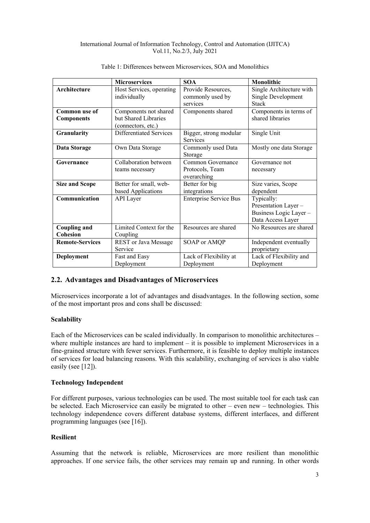|                        | <b>Microservices</b>     | <b>SOA</b>                    | Monolithic               |
|------------------------|--------------------------|-------------------------------|--------------------------|
| Architecture           | Host Services, operating | Provide Resources,            | Single Architecture with |
|                        | individually             | commonly used by              | Single Development       |
|                        |                          | services                      | <b>Stack</b>             |
| Common use of          | Components not shared    | Components shared             | Components in terms of   |
| <b>Components</b>      | but Shared Libraries     |                               | shared libraries         |
|                        | (connectors, etc.)       |                               |                          |
| Granularity            | Differentiated Services  | Bigger, strong modular        | Single Unit              |
|                        |                          | Services                      |                          |
| Data Storage           | Own Data Storage         | Commonly used Data            | Mostly one data Storage  |
|                        |                          | Storage                       |                          |
| Governance             | Collaboration between    | Common Governance             | Governance not           |
|                        | teams necessary          | Protocols, Team               | necessary                |
|                        |                          | overarching                   |                          |
| <b>Size and Scope</b>  | Better for small, web-   | Better for big                | Size varies, Scope       |
|                        | based Applications       | integrations                  | dependent                |
| Communication          | <b>API</b> Layer         | <b>Enterprise Service Bus</b> | Typically:               |
|                        |                          |                               | Presentation Layer -     |
|                        |                          |                               | Business Logic Layer-    |
|                        |                          |                               | Data Access Layer        |
| <b>Coupling and</b>    | Limited Context for the  | Resources are shared          | No Resources are shared  |
| <b>Cohesion</b>        | Coupling                 |                               |                          |
| <b>Remote-Services</b> | REST or Java Message     | SOAP or AMQP                  | Independent eventually   |
|                        | Service                  |                               | proprietary              |
| Deployment             | Fast and Easy            | Lack of Flexibility at        | Lack of Flexibility and  |
|                        | Deployment               | Deployment                    | Deployment               |

#### Table 1: Differences between Microservices, SOA and Monolithics

# **2.2. Advantages and Disadvantages of Microservices**

Microservices incorporate a lot of advantages and disadvantages. In the following section, some of the most important pros and cons shall be discussed:

## **Scalability**

Each of the Microservices can be scaled individually. In comparison to monolithic architectures – where multiple instances are hard to implement – it is possible to implement Microservices in a fine-grained structure with fewer services. Furthermore, it is feasible to deploy multiple instances of services for load balancing reasons. With this scalability, exchanging of services is also viable easily (see [12]).

#### **Technology Independent**

For different purposes, various technologies can be used. The most suitable tool for each task can be selected. Each Microservice can easily be migrated to other – even new – technologies. This technology independence covers different database systems, different interfaces, and different programming languages (see [16]).

#### **Resilient**

Assuming that the network is reliable, Microservices are more resilient than monolithic approaches. If one service fails, the other services may remain up and running. In other words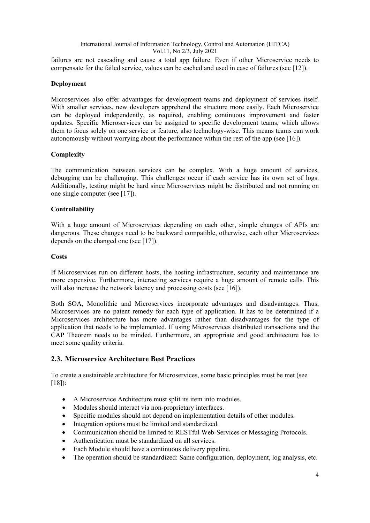failures are not cascading and cause a total app failure. Even if other Microservice needs to compensate for the failed service, values can be cached and used in case of failures (see [12]).

## **Deployment**

Microservices also offer advantages for development teams and deployment of services itself. With smaller services, new developers apprehend the structure more easily. Each Microservice can be deployed independently, as required, enabling continuous improvement and faster updates. Specific Microservices can be assigned to specific development teams, which allows them to focus solely on one service or feature, also technology-wise. This means teams can work autonomously without worrying about the performance within the rest of the app (see [16]).

# **Complexity**

The communication between services can be complex. With a huge amount of services, debugging can be challenging. This challenges occur if each service has its own set of logs. Additionally, testing might be hard since Microservices might be distributed and not running on one single computer (see [17]).

# **Controllability**

With a huge amount of Microservices depending on each other, simple changes of APIs are dangerous. These changes need to be backward compatible, otherwise, each other Microservices depends on the changed one (see [17]).

#### **Costs**

If Microservices run on different hosts, the hosting infrastructure, security and maintenance are more expensive. Furthermore, interacting services require a huge amount of remote calls. This will also increase the network latency and processing costs (see [16]).

Both SOA, Monolithic and Microservices incorporate advantages and disadvantages. Thus, Microservices are no patent remedy for each type of application. It has to be determined if a Microservices architecture has more advantages rather than disadvantages for the type of application that needs to be implemented. If using Microservices distributed transactions and the CAP Theorem needs to be minded. Furthermore, an appropriate and good architecture has to meet some quality criteria.

# **2.3. Microservice Architecture Best Practices**

To create a sustainable architecture for Microservices, some basic principles must be met (see  $[18]$ :

- A Microservice Architecture must split its item into modules.
- Modules should interact via non-proprietary interfaces.
- Specific modules should not depend on implementation details of other modules.
- Integration options must be limited and standardized.
- Communication should be limited to RESTful Web-Services or Messaging Protocols.
- Authentication must be standardized on all services.
- Each Module should have a continuous delivery pipeline.
- The operation should be standardized: Same configuration, deployment, log analysis, etc.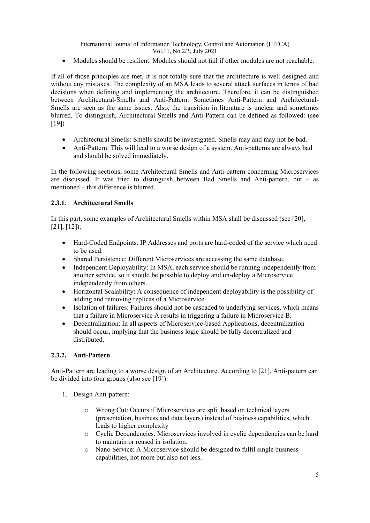• Modules should be resilient. Modules should not fail if other modules are not reachable.

If all of those principles are met, it is not totally sure that the architecture is well designed and without any mistakes. The complexity of an MSA leads to several attack surfaces in terms of bad decisions when defining and implementing the architecture. Therefore, it can be distinguished between Architectural-Smells and Anti-Pattern. Sometimes Anti-Pattern and Architectural-Smells are seen as the same issues. Also, the transition in literature is unclear and sometimes blurred. To distinguish, Architectural Smells and Anti-Pattern can be defined as followed: (see [19])

- Architectural Smells: Smells should be investigated. Smells may and may not be bad.
- Anti-Pattern: This will lead to a worse design of a system. Anti-patterns are always bad and should be solved immediately.

In the following sections, some Architectural Smells and Anti-pattern concerning Microservices are discussed. It was tried to distinguish between Bad Smells and Anti-pattern, but – as mentioned – this difference is blurred.

# **2.3.1. Architectural Smells**

In this part, some examples of Architectural Smells within MSA shall be discussed (see [20], [21], [12]):

- Hard-Coded Endpoints: IP Addresses and ports are hard-coded of the service which need to be used.
- Shared Persistence: Different Microservices are accessing the same database.
- Independent Deployability: In MSA, each service should be running independently from another service, so it should be possible to deploy and un-deploy a Microservice independently from others.
- Horizontal Scalability: A consequence of independent deployability is the possibility of adding and removing replicas of a Microservice.
- Isolation of failures: Failures should not be cascaded to underlying services, which means that a failure in Microservice A results in triggering a failure in Microservice B.
- Decentralization: In all aspects of Microservice-based Applications, decentralization should occur, implying that the business logic should be fully decentralized and distributed.

# **2.3.2. Anti-Pattern**

Anti-Pattern are leading to a worse design of an Architecture. According to [21], Anti-pattern can be divided into four groups (also see [19]):

- 1. Design Anti-pattern:
	- o Wrong Cut: Occurs if Microservices are split based on technical layers (presentation, business and data layers) instead of business capabilities, which leads to higher complexity
	- o Cyclic Dependencies: Microservices involved in cyclic dependencies can be hard to maintain or reused in isolation.
	- o Nano Service: A Microservice should be designed to fulfil single business capabilities, not more but also not less.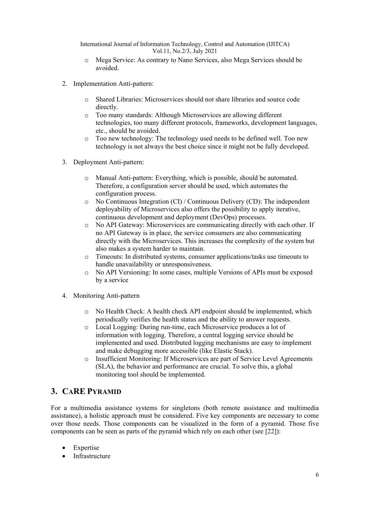- o Mega Service: As contrary to Nano Services, also Mega Services should be avoided.
- 2. Implementation Anti-pattern:
	- o Shared Libraries: Microservices should not share libraries and source code directly.
	- o Too many standards: Although Microservices are allowing different technologies, too many different protocols, frameworks, development languages, etc., should be avoided.
	- o Too new technology: The technology used needs to be defined well. Too new technology is not always the best choice since it might not be fully developed.
- 3. Deployment Anti-pattern:
	- o Manual Anti-pattern: Everything, which is possible, should be automated. Therefore, a configuration server should be used, which automates the configuration process.
	- o No Continuous Integration (CI) / Continuous Delivery (CD): The independent deployability of Microservices also offers the possibility to apply iterative, continuous development and deployment (DevOps) processes.
	- o No API Gateway: Microservices are communicating directly with each other. If no API Gateway is in place, the service consumers are also communicating directly with the Microservices. This increases the complexity of the system but also makes a system harder to maintain.
	- o Timeouts: In distributed systems, consumer applications/tasks use timeouts to handle unavailability or unresponsiveness.
	- o No API Versioning: In some cases, multiple Versions of APIs must be exposed by a service
- 4. Monitoring Anti-pattern
	- o No Health Check: A health check API endpoint should be implemented, which periodically verifies the health status and the ability to answer requests.
	- o Local Logging: During run-time, each Microservice produces a lot of information with logging. Therefore, a central logging service should be implemented and used. Distributed logging mechanisms are easy to implement and make debugging more accessible (like Elastic Stack).
	- o Insufficient Monitoring: If Microservices are part of Service Level Agreements (SLA), the behavior and performance are crucial. To solve this, a global monitoring tool should be implemented.

# **3. CARE PYRAMID**

For a multimedia assistance systems for singletons (both remote assistance and multimedia assistance), a holistic approach must be considered. Five key components are necessary to come over those needs. Those components can be visualized in the form of a pyramid. Those five components can be seen as parts of the pyramid which rely on each other (see [22]):

- **Expertise**
- **Infrastructure**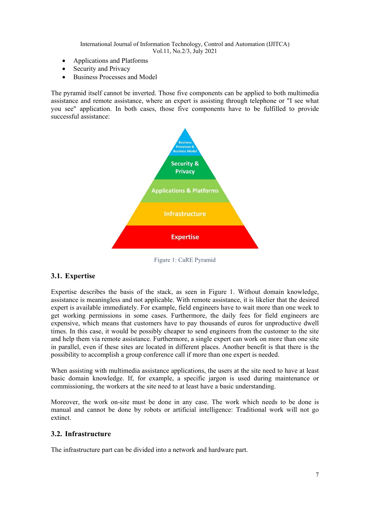- Applications and Platforms
- Security and Privacy
- Business Processes and Model

The pyramid itself cannot be inverted. Those five components can be applied to both multimedia assistance and remote assistance, where an expert is assisting through telephone or "I see what you see" application. In both cases, those five components have to be fulfilled to provide successful assistance:



Figure 1: CaRE Pyramid

#### <span id="page-6-0"></span>**3.1. Expertise**

Expertise describes the basis of the stack, as seen in [Figure 1.](#page-6-0) Without domain knowledge, assistance is meaningless and not applicable. With remote assistance, it is likelier that the desired expert is available immediately. For example, field engineers have to wait more than one week to get working permissions in some cases. Furthermore, the daily fees for field engineers are expensive, which means that customers have to pay thousands of euros for unproductive dwell times. In this case, it would be possibly cheaper to send engineers from the customer to the site and help them via remote assistance. Furthermore, a single expert can work on more than one site in parallel, even if these sites are located in different places. Another benefit is that there is the possibility to accomplish a group conference call if more than one expert is needed.

When assisting with multimedia assistance applications, the users at the site need to have at least basic domain knowledge. If, for example, a specific jargon is used during maintenance or commissioning, the workers at the site need to at least have a basic understanding.

Moreover, the work on-site must be done in any case. The work which needs to be done is manual and cannot be done by robots or artificial intelligence: Traditional work will not go extinct.

#### **3.2. Infrastructure**

The infrastructure part can be divided into a network and hardware part.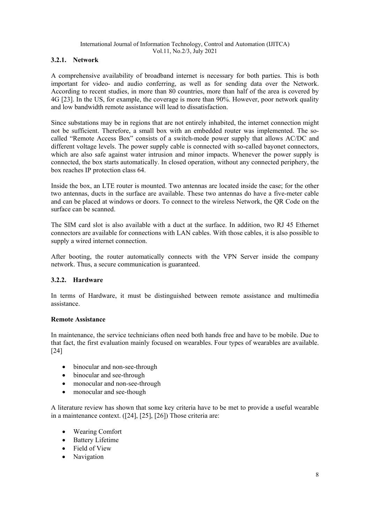# **3.2.1. Network**

A comprehensive availability of broadband internet is necessary for both parties. This is both important for video- and audio conferring, as well as for sending data over the Network. According to recent studies, in more than 80 countries, more than half of the area is covered by 4G [23]. In the US, for example, the coverage is more than 90%. However, poor network quality and low bandwidth remote assistance will lead to dissatisfaction.

Since substations may be in regions that are not entirely inhabited, the internet connection might not be sufficient. Therefore, a small box with an embedded router was implemented. The socalled "Remote Access Box" consists of a switch-mode power supply that allows AC/DC and different voltage levels. The power supply cable is connected with so-called bayonet connectors, which are also safe against water intrusion and minor impacts. Whenever the power supply is connected, the box starts automatically. In closed operation, without any connected periphery, the box reaches IP protection class 64.

Inside the box, an LTE router is mounted. Two antennas are located inside the case; for the other two antennas, ducts in the surface are available. These two antennas do have a five-meter cable and can be placed at windows or doors. To connect to the wireless Network, the QR Code on the surface can be scanned.

The SIM card slot is also available with a duct at the surface. In addition, two RJ 45 Ethernet connectors are available for connections with LAN cables. With those cables, it is also possible to supply a wired internet connection.

After booting, the router automatically connects with the VPN Server inside the company network. Thus, a secure communication is guaranteed.

#### **3.2.2. Hardware**

In terms of Hardware, it must be distinguished between remote assistance and multimedia assistance.

#### **Remote Assistance**

In maintenance, the service technicians often need both hands free and have to be mobile. Due to that fact, the first evaluation mainly focused on wearables. Four types of wearables are available. [24]

- binocular and non-see-through
- binocular and see-through
- monocular and non-see-through
- monocular and see-though

A literature review has shown that some key criteria have to be met to provide a useful wearable in a maintenance context. ([24], [25], [26]) Those criteria are:

- Wearing Comfort
- Battery Lifetime
- Field of View
- **Navigation**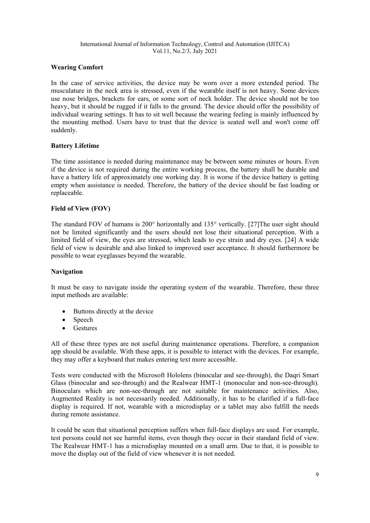# **Wearing Comfort**

In the case of service activities, the device may be worn over a more extended period. The musculature in the neck area is stressed, even if the wearable itself is not heavy. Some devices use nose bridges, brackets for ears, or some sort of neck holder. The device should not be too heavy, but it should be rugged if it falls to the ground. The device should offer the possibility of individual wearing settings. It has to sit well because the wearing feeling is mainly influenced by the mounting method. Users have to trust that the device is seated well and won't come off suddenly.

#### **Battery Lifetime**

The time assistance is needed during maintenance may be between some minutes or hours. Even if the device is not required during the entire working process, the battery shall be durable and have a battery life of approximately one working day. It is worse if the device battery is getting empty when assistance is needed. Therefore, the battery of the device should be fast loading or replaceable.

#### **Field of View (FOV)**

The standard FOV of humans is 200° horizontally and 135° vertically. [27]The user sight should not be limited significantly and the users should not lose their situational perception. With a limited field of view, the eyes are stressed, which leads to eye strain and dry eyes. [24] A wide field of view is desirable and also linked to improved user acceptance. It should furthermore be possible to wear eyeglasses beyond the wearable.

#### **Navigation**

It must be easy to navigate inside the operating system of the wearable. Therefore, these three input methods are available:

- Buttons directly at the device
- Speech
- Gestures

All of these three types are not useful during maintenance operations. Therefore, a companion app should be available. With these apps, it is possible to interact with the devices. For example, they may offer a keyboard that makes entering text more accessible.

Tests were conducted with the Microsoft Hololens (binocular and see-through), the Daqri Smart Glass (binocular and see-through) and the Realwear HMT-1 (monocular and non-see-through). Binoculars which are non-see-through are not suitable for maintenance activities. Also, Augmented Reality is not necessarily needed. Additionally, it has to be clarified if a full-face display is required. If not, wearable with a microdisplay or a tablet may also fulfill the needs during remote assistance.

It could be seen that situational perception suffers when full-face displays are used. For example, test persons could not see harmful items, even though they occur in their standard field of view. The Realwear HMT-1 has a microdisplay mounted on a small arm. Due to that, it is possible to move the display out of the field of view whenever it is not needed.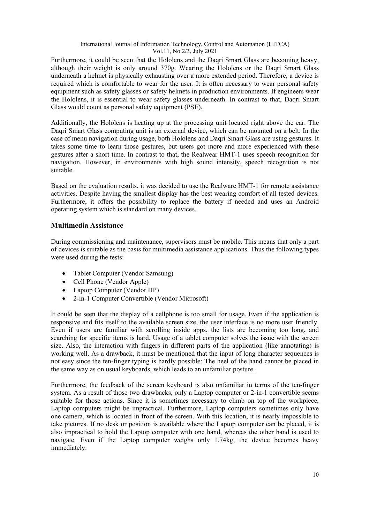Furthermore, it could be seen that the Hololens and the Daqri Smart Glass are becoming heavy, although their weight is only around 370g. Wearing the Hololens or the Daqri Smart Glass underneath a helmet is physically exhausting over a more extended period. Therefore, a device is required which is comfortable to wear for the user. It is often necessary to wear personal safety equipment such as safety glasses or safety helmets in production environments. If engineers wear the Hololens, it is essential to wear safety glasses underneath. In contrast to that, Daqri Smart Glass would count as personal safety equipment (PSE).

Additionally, the Hololens is heating up at the processing unit located right above the ear. The Daqri Smart Glass computing unit is an external device, which can be mounted on a belt. In the case of menu navigation during usage, both Hololens and Daqri Smart Glass are using gestures. It takes some time to learn those gestures, but users got more and more experienced with these gestures after a short time. In contrast to that, the Realwear HMT-1 uses speech recognition for navigation. However, in environments with high sound intensity, speech recognition is not suitable.

Based on the evaluation results, it was decided to use the Realware HMT-1 for remote assistance activities. Despite having the smallest display has the best wearing comfort of all tested devices. Furthermore, it offers the possibility to replace the battery if needed and uses an Android operating system which is standard on many devices.

# **Multimedia Assistance**

During commissioning and maintenance, supervisors must be mobile. This means that only a part of devices is suitable as the basis for multimedia assistance applications. Thus the following types were used during the tests:

- Tablet Computer (Vendor Samsung)
- Cell Phone (Vendor Apple)
- Laptop Computer (Vendor HP)
- 2-in-1 Computer Convertible (Vendor Microsoft)

It could be seen that the display of a cellphone is too small for usage. Even if the application is responsive and fits itself to the available screen size, the user interface is no more user friendly. Even if users are familiar with scrolling inside apps, the lists are becoming too long, and searching for specific items is hard. Usage of a tablet computer solves the issue with the screen size. Also, the interaction with fingers in different parts of the application (like annotating) is working well. As a drawback, it must be mentioned that the input of long character sequences is not easy since the ten-finger typing is hardly possible: The heel of the hand cannot be placed in the same way as on usual keyboards, which leads to an unfamiliar posture.

Furthermore, the feedback of the screen keyboard is also unfamiliar in terms of the ten-finger system. As a result of those two drawbacks, only a Laptop computer or 2-in-1 convertible seems suitable for those actions. Since it is sometimes necessary to climb on top of the workpiece, Laptop computers might be impractical. Furthermore, Laptop computers sometimes only have one camera, which is located in front of the screen. With this location, it is nearly impossible to take pictures. If no desk or position is available where the Laptop computer can be placed, it is also impractical to hold the Laptop computer with one hand, whereas the other hand is used to navigate. Even if the Laptop computer weighs only 1.74kg, the device becomes heavy immediately.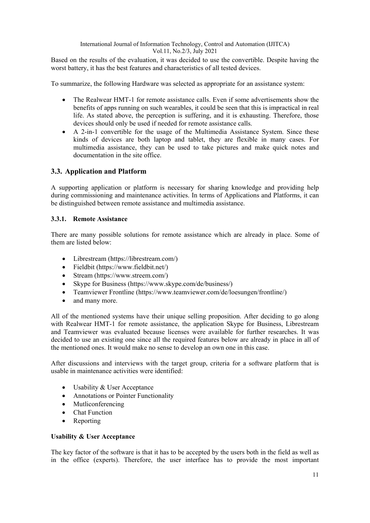Based on the results of the evaluation, it was decided to use the convertible. Despite having the worst battery, it has the best features and characteristics of all tested devices.

To summarize, the following Hardware was selected as appropriate for an assistance system:

- The Realwear HMT-1 for remote assistance calls. Even if some advertisements show the benefits of apps running on such wearables, it could be seen that this is impractical in real life. As stated above, the perception is suffering, and it is exhausting. Therefore, those devices should only be used if needed for remote assistance calls.
- A 2-in-1 convertible for the usage of the Multimedia Assistance System. Since these kinds of devices are both laptop and tablet, they are flexible in many cases. For multimedia assistance, they can be used to take pictures and make quick notes and documentation in the site office.

# **3.3. Application and Platform**

A supporting application or platform is necessary for sharing knowledge and providing help during commissioning and maintenance activities. In terms of Applications and Platforms, it can be distinguished between remote assistance and multimedia assistance.

# **3.3.1. Remote Assistance**

There are many possible solutions for remote assistance which are already in place. Some of them are listed below:

- Librestream (https://librestream.com/)
- Fieldbit (https://www.fieldbit.net/)
- Stream (https://www.streem.com/)
- Skype for Business (https://www.skype.com/de/business/)
- Teamviewer Frontline (https://www.teamviewer.com/de/loesungen/frontline/)
- and many more.

All of the mentioned systems have their unique selling proposition. After deciding to go along with Realwear HMT-1 for remote assistance, the application Skype for Business, Librestream and Teamviewer was evaluated because licenses were available for further researches. It was decided to use an existing one since all the required features below are already in place in all of the mentioned ones. It would make no sense to develop an own one in this case.

After discussions and interviews with the target group, criteria for a software platform that is usable in maintenance activities were identified:

- Usability & User Acceptance
- Annotations or Pointer Functionality
- Mutliconferencing
- Chat Function
- **Reporting**

#### **Usability & User Acceptance**

The key factor of the software is that it has to be accepted by the users both in the field as well as in the office (experts). Therefore, the user interface has to provide the most important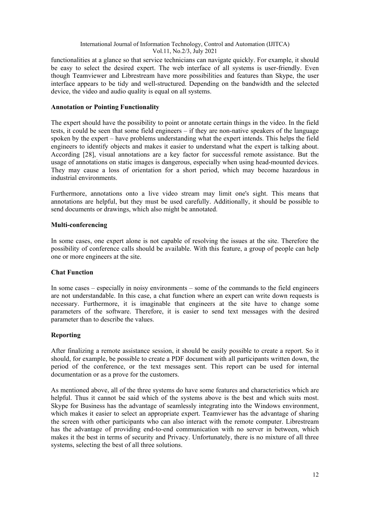functionalities at a glance so that service technicians can navigate quickly. For example, it should be easy to select the desired expert. The web interface of all systems is user-friendly. Even though Teamviewer and Librestream have more possibilities and features than Skype, the user interface appears to be tidy and well-structured. Depending on the bandwidth and the selected device, the video and audio quality is equal on all systems.

#### **Annotation or Pointing Functionality**

The expert should have the possibility to point or annotate certain things in the video. In the field tests, it could be seen that some field engineers – if they are non-native speakers of the language spoken by the expert – have problems understanding what the expert intends. This helps the field engineers to identify objects and makes it easier to understand what the expert is talking about. According [28], visual annotations are a key factor for successful remote assistance. But the usage of annotations on static images is dangerous, especially when using head-mounted devices. They may cause a loss of orientation for a short period, which may become hazardous in industrial environments.

Furthermore, annotations onto a live video stream may limit one's sight. This means that annotations are helpful, but they must be used carefully. Additionally, it should be possible to send documents or drawings, which also might be annotated.

#### **Multi-conferencing**

In some cases, one expert alone is not capable of resolving the issues at the site. Therefore the possibility of conference calls should be available. With this feature, a group of people can help one or more engineers at the site.

#### **Chat Function**

In some cases – especially in noisy environments – some of the commands to the field engineers are not understandable. In this case, a chat function where an expert can write down requests is necessary. Furthermore, it is imaginable that engineers at the site have to change some parameters of the software. Therefore, it is easier to send text messages with the desired parameter than to describe the values.

#### **Reporting**

After finalizing a remote assistance session, it should be easily possible to create a report. So it should, for example, be possible to create a PDF document with all participants written down, the period of the conference, or the text messages sent. This report can be used for internal documentation or as a prove for the customers.

As mentioned above, all of the three systems do have some features and characteristics which are helpful. Thus it cannot be said which of the systems above is the best and which suits most. Skype for Business has the advantage of seamlessly integrating into the Windows environment, which makes it easier to select an appropriate expert. Teamviewer has the advantage of sharing the screen with other participants who can also interact with the remote computer. Librestream has the advantage of providing end-to-end communication with no server in between, which makes it the best in terms of security and Privacy. Unfortunately, there is no mixture of all three systems, selecting the best of all three solutions.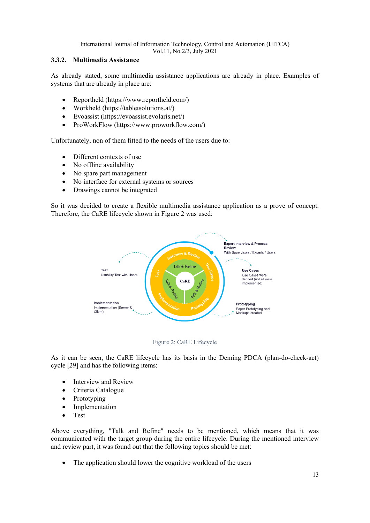# **3.3.2. Multimedia Assistance**

As already stated, some multimedia assistance applications are already in place. Examples of systems that are already in place are:

- Reportheld (https://www.reportheld.com/)
- Workheld (https://tabletsolutions.at/)
- Evoassist (https://evoassist.evolaris.net/)
- ProWorkFlow (https://www.proworkflow.com/)

Unfortunately, non of them fitted to the needs of the users due to:

- Different contexts of use
- No offline availability
- No spare part management
- No interface for external systems or sources
- Drawings cannot be integrated

So it was decided to create a flexible multimedia assistance application as a prove of concept. Therefore, the CaRE lifecycle shown in [Figure 2](#page-12-0) was used:





<span id="page-12-0"></span>As it can be seen, the CaRE lifecycle has its basis in the Deming PDCA (plan-do-check-act) cycle [29] and has the following items:

- Interview and Review
- Criteria Catalogue
- Prototyping
- **Implementation**
- Test

Above everything, "Talk and Refine" needs to be mentioned, which means that it was communicated with the target group during the entire lifecycle. During the mentioned interview and review part, it was found out that the following topics should be met:

The application should lower the cognitive workload of the users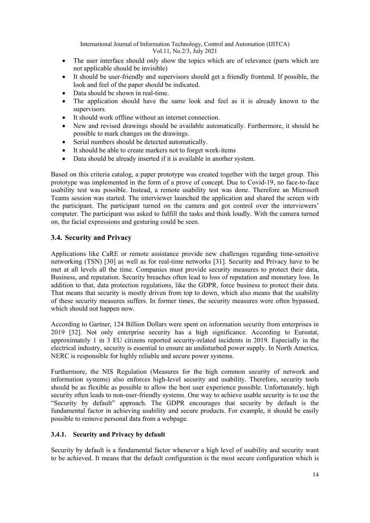- The user interface should only show the topics which are of relevance (parts which are not applicable should be invisible)
- It should be user-friendly and supervisors should get a friendly frontend. If possible, the look and feel of the paper should be indicated.
- Data should be shown in real-time.
- The application should have the same look and feel as it is already known to the supervisors.
- It should work offline without an internet connection.
- New and revised drawings should be available automatically. Furthermore, it should be possible to mark changes on the drawings.
- Serial numbers should be detected automatically.
- It should be able to create markers not to forget work-items
- Data should be already inserted if it is available in another system.

Based on this criteria catalog, a paper prototype was created together with the target group. This prototype was implemented in the form of a prove of concept. Due to Covid-19, no face-to-face usability test was possible. Instead, a remote usability test was done. Therefore an Microsoft Teams session was started. The interviewer launched the application and shared the screen with the participant. The participant turned on the camera and got control over the interviewers' computer. The participant was asked to fulfill the tasks and think loudly. With the camera turned on, the facial expressions and gesturing could be seen.

# **3.4. Security and Privacy**

Applications like CaRE or remote assistance provide new challenges regarding time-sensitive networking (TSN) [30] as well as for real-time networks [31]. Security and Privacy have to be met at all levels all the time. Companies must provide security measures to protect their data, Business, and reputation. Security breaches often lead to loss of reputation and monetary loss. In addition to that, data protection regulations, like the GDPR, force business to protect their data. That means that security is mostly driven from top to down, which also means that the usability of these security measures suffers. In former times, the security measures were often bypassed, which should not happen now.

According to Gartner, 124 Billion Dollars were spent on information security from enterprises in 2019 [32]. Not only enterprise security has a high significance. According to Eurostat, approximately 1 in 3 EU citizens reported security-related incidents in 2019. Especially in the electrical industry, security is essential to ensure an undisturbed power supply. In North America, NERC is responsible for highly reliable and secure power systems.

Furthermore, the NIS Regulation (Measures for the high common security of network and information systems) also enforces high-level security and usability. Therefore, security tools should be as flexible as possible to allow the best user experience possible. Unfortunately, high security often leads to non-user-friendly systems. One way to achieve usable security is to use the "Security by default" approach. The GDPR encourages that security by default is the fundamental factor in achieving usability and secure products. For example, it should be easily possible to remove personal data from a webpage.

#### **3.4.1. Security and Privacy by default**

Security by default is a fundamental factor whenever a high level of usability and security want to be achieved. It means that the default configuration is the most secure configuration which is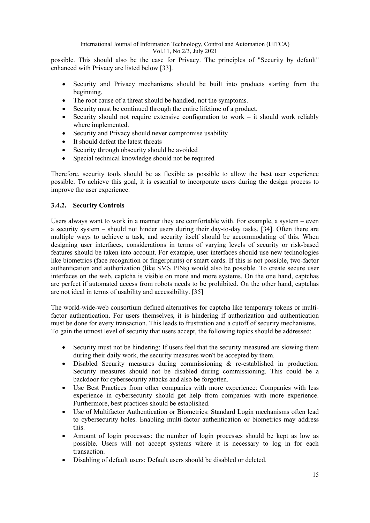possible. This should also be the case for Privacy. The principles of "Security by default" enhanced with Privacy are listed below [33].

- Security and Privacy mechanisms should be built into products starting from the beginning.
- The root cause of a threat should be handled, not the symptoms.
- Security must be continued through the entire lifetime of a product.
- Security should not require extensive configuration to work  $-$  it should work reliably where implemented.
- Security and Privacy should never compromise usability
- It should defeat the latest threats
- Security through obscurity should be avoided
- Special technical knowledge should not be required

Therefore, security tools should be as flexible as possible to allow the best user experience possible. To achieve this goal, it is essential to incorporate users during the design process to improve the user experience.

# **3.4.2. Security Controls**

Users always want to work in a manner they are comfortable with. For example, a system – even a security system – should not hinder users during their day-to-day tasks. [34]. Often there are multiple ways to achieve a task, and security itself should be accommodating of this. When designing user interfaces, considerations in terms of varying levels of security or risk-based features should be taken into account. For example, user interfaces should use new technologies like biometrics (face recognition or fingerprints) or smart cards. If this is not possible, two-factor authentication and authorization (like SMS PINs) would also be possible. To create secure user interfaces on the web, captcha is visible on more and more systems. On the one hand, captchas are perfect if automated access from robots needs to be prohibited. On the other hand, captchas are not ideal in terms of usability and accessibility. [35]

The world-wide-web consortium defined alternatives for captcha like temporary tokens or multifactor authentication. For users themselves, it is hindering if authorization and authentication must be done for every transaction. This leads to frustration and a cutoff of security mechanisms. To gain the utmost level of security that users accept, the following topics should be addressed:

- Security must not be hindering: If users feel that the security measured are slowing them during their daily work, the security measures won't be accepted by them.
- Disabled Security measures during commissioning & re-established in production: Security measures should not be disabled during commissioning. This could be a backdoor for cybersecurity attacks and also be forgotten.
- Use Best Practices from other companies with more experience: Companies with less experience in cybersecurity should get help from companies with more experience. Furthermore, best practices should be established.
- Use of Multifactor Authentication or Biometrics: Standard Login mechanisms often lead to cybersecurity holes. Enabling multi-factor authentication or biometrics may address this.
- Amount of login processes: the number of login processes should be kept as low as possible. Users will not accept systems where it is necessary to log in for each transaction.
- Disabling of default users: Default users should be disabled or deleted.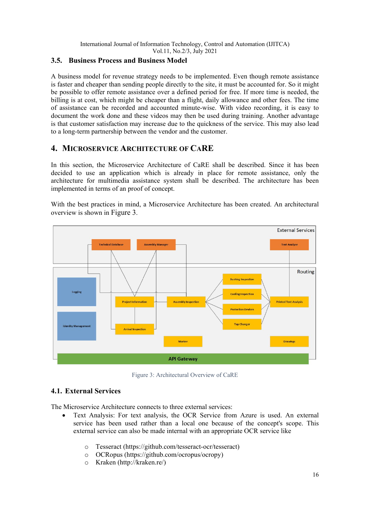# **3.5. Business Process and Business Model**

A business model for revenue strategy needs to be implemented. Even though remote assistance is faster and cheaper than sending people directly to the site, it must be accounted for. So it might be possible to offer remote assistance over a defined period for free. If more time is needed, the billing is at cost, which might be cheaper than a flight, daily allowance and other fees. The time of assistance can be recorded and accounted minute-wise. With video recording, it is easy to document the work done and these videos may then be used during training. Another advantage is that customer satisfaction may increase due to the quickness of the service. This may also lead to a long-term partnership between the vendor and the customer.

# **4. MICROSERVICE ARCHITECTURE OF CARE**

In this section, the Microservice Architecture of CaRE shall be described. Since it has been decided to use an application which is already in place for remote assistance, only the architecture for multimedia assistance system shall be described. The architecture has been implemented in terms of an proof of concept.



With the best practices in mind, a Microservice Architecture has been created. An architectural overview is shown in [Figure 3.](#page-15-0)

Figure 3: Architectural Overview of CaRE

# <span id="page-15-0"></span>**4.1. External Services**

The Microservice Architecture connects to three external services:

- Text Analysis: For text analysis, the OCR Service from Azure is used. An external service has been used rather than a local one because of the concept's scope. This external service can also be made internal with an appropriate OCR service like
	- o Tesseract (https://github.com/tesseract-ocr/tesseract)
	- o OCRopus (https://github.com/ocropus/ocropy)
	- o Kraken (http://kraken.re/)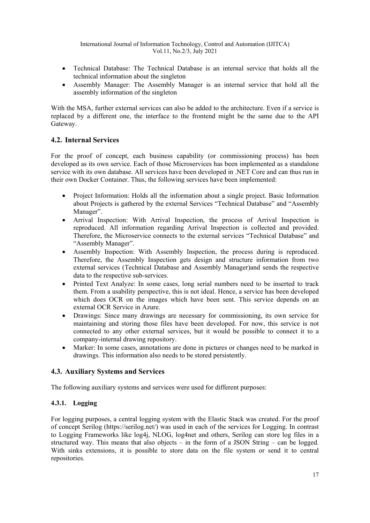- Technical Database: The Technical Database is an internal service that holds all the technical information about the singleton
- Assembly Manager: The Assembly Manager is an internal service that hold all the assembly information of the singleton

With the MSA, further external services can also be added to the architecture. Even if a service is replaced by a different one, the interface to the frontend might be the same due to the API Gateway.

# **4.2. Internal Services**

For the proof of concept, each business capability (or commissioning process) has been developed as its own service. Each of those Microservices has been implemented as a standalone service with its own database. All services have been developed in .NET Core and can thus run in their own Docker Container. Thus, the following services have been implemented:

- Project Information: Holds all the information about a single project. Basic Information about Projects is gathered by the external Services "Technical Database" and "Assembly Manager".
- Arrival Inspection: With Arrival Inspection, the process of Arrival Inspection is reproduced. All information regarding Arrival Inspection is collected and provided. Therefore, the Microservice connects to the external services "Technical Database" and "Assembly Manager".
- Assembly Inspection: With Assembly Inspection, the process during is reproduced. Therefore, the Assembly Inspection gets design and structure information from two external services (Technical Database and Assembly Manager)and sends the respective data to the respective sub-services.
- Printed Text Analyze: In some cases, long serial numbers need to be inserted to track them. From a usability perspective, this is not ideal. Hence, a service has been developed which does OCR on the images which have been sent. This service depends on an external OCR Service in Azure.
- Drawings: Since many drawings are necessary for commissioning, its own service for maintaining and storing those files have been developed. For now, this service is not connected to any other external services, but it would be possible to connect it to a company-internal drawing repository.
- Marker: In some cases, annotations are done in pictures or changes need to be marked in drawings. This information also needs to be stored persistently.

# **4.3. Auxiliary Systems and Services**

The following auxiliary systems and services were used for different purposes:

# **4.3.1. Logging**

For logging purposes, a central logging system with the Elastic Stack was created. For the proof of concept Serilog (https://serilog.net/) was used in each of the services for Logging. In contrast to Logging Frameworks like log4j, NLOG, log4net and others, Serilog can store log files in a structured way. This means that also objects – in the form of a JSON String – can be logged. With sinks extensions, it is possible to store data on the file system or send it to central repositories.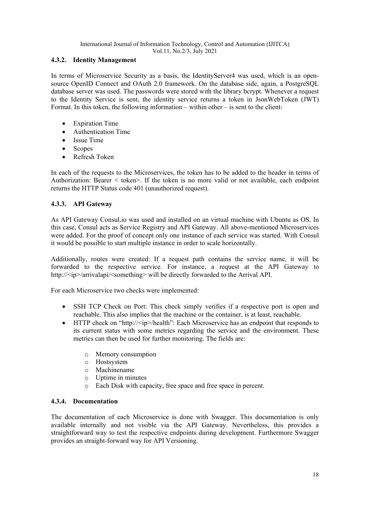## **4.3.2. Identity Management**

In terms of Microservice Security as a basis, the IdentityServer4 was used, which is an opensource OpenID Connect and OAuth 2.0 framework. On the database side, again, a PostgreSQL database server was used. The passwords were stored with the library bcrypt. Whenever a request to the Identity Service is sent, the identity service returns a token in JsonWebToken (JWT) Format. In this token, the following information – within other – is sent to the client:

- **Expiration Time**
- Authentication Time
- Issue Time
- Scopes
- Refresh Token

In each of the requests to the Microservices, the token has to be added to the header in terms of Authorization: Bearer < token>. If the token is no more valid or not available, each endpoint returns the HTTP Status code 401 (unauthorized request).

# **4.3.3. API Gateway**

As API Gateway Consul.io was used and installed on an virtual machine with Ubuntu as OS. In this case, Consul acts as Service Registry and API Gateway. All above-mentioned Microservices were added. For the proof of concept only one instance of each service was started. With Consul it would be possible to start multiple instance in order to scale horizontally.

Additionally, routes were created: If a request path contains the service name, it will be forwarded to the respective service. For instance, a request at the API Gateway to http://<ip>/arrivalapi/<something> will be directly forwarded to the Arrival API.

For each Microservice two checks were implemented:

- SSH TCP Check on Port: This check simply verifies if a respective port is open and reachable. This also implies that the machine or the container, is at least, reachable.
- HTTP check on "http://<ip>/health": Each Microservice has an endpoint that responds to its current status with some metrics regarding the service and the environment. These metrics can then be used for further monitoring. The fields are:
	- o Memory consumption
	- o Hostsystem
	- o Machinename
	- o Uptime in minutes
	- o Each Disk with capacity, free space and free space in percent.

#### **4.3.4. Documentation**

The documentation of each Microservice is done with Swagger. This documentation is only available internally and not visible via the API Gateway. Nevertheless, this provides a straightforward way to test the respective endpoints during development. Furthermore Swagger provides an straight-forward way for API Versioning.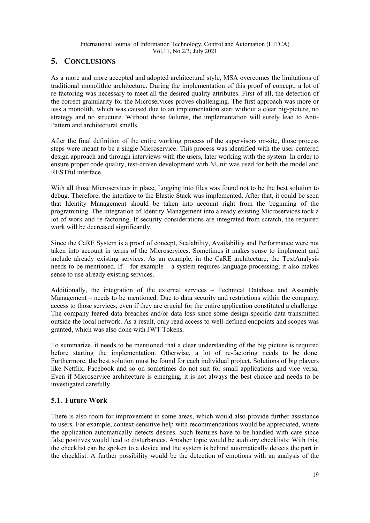# **5. CONCLUSIONS**

As a more and more accepted and adopted architectural style, MSA overcomes the limitations of traditional monolithic architecture. During the implementation of this proof of concept, a lot of re-factoring was necessary to meet all the desired quality attributes. First of all, the detection of the correct granularity for the Microservices proves challenging. The first approach was more or less a monolith, which was caused due to an implementation start without a clear big-picture, no strategy and no structure. Without those failures, the implementation will surely lead to Anti-Pattern and architectural smells.

After the final definition of the entire working process of the supervisors on-site, those process steps were meant to be a single Microservice. This process was identified with the user-centered design approach and through interviews with the users, later working with the system. In order to ensure proper code quality, test-driven development with NUnit was used for both the model and RESTful interface.

With all those Microservices in place, Logging into files was found not to be the best solution to debug. Therefore, the interface to the Elastic Stack was implemented. After that, it could be seen that Identity Management should be taken into account right from the beginning of the programming. The integration of Identity Management into already existing Microservices took a lot of work and re-factoring. If security considerations are integrated from scratch, the required work will be decreased significantly.

Since the CaRE System is a proof of concept, Scalability, Availability and Performance were not taken into account in terms of the Microservices. Sometimes it makes sense to implement and include already existing services. As an example, in the CaRE architecture, the TextAnalysis needs to be mentioned. If – for example – a system requires language processing, it also makes sense to use already existing services.

Additionally, the integration of the external services – Technical Database and Assembly Management – needs to be mentioned. Due to data security and restrictions within the company, access to those services, even if they are crucial for the entire application constituted a challenge. The company feared data breaches and/or data loss since some design-specific data transmitted outside the local network. As a result, only read access to well-defined endpoints and scopes was granted, which was also done with JWT Tokens.

To summarize, it needs to be mentioned that a clear understanding of the big picture is required before starting the implementation. Otherwise, a lot of re-factoring needs to be done. Furthermore, the best solution must be found for each individual project. Solutions of big players like Netflix, Facebook and so on sometimes do not suit for small applications and vice versa. Even if Microservice architecture is emerging, it is not always the best choice and needs to be investigated carefully.

# **5.1. Future Work**

There is also room for improvement in some areas, which would also provide further assistance to users. For example, context-sensitive help with recommendations would be appreciated, where the application automatically detects desires. Such features have to be handled with care since false positives would lead to disturbances. Another topic would be auditory checklists: With this, the checklist can be spoken to a device and the system is behind automatically detects the part in the checklist. A further possibility would be the detection of emotions with an analysis of the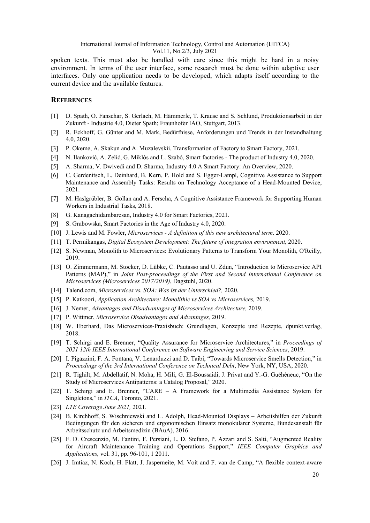spoken texts. This must also be handled with care since this might be hard in a noisy environment. In terms of the user interface, some research must be done within adaptive user interfaces. Only one application needs to be developed, which adapts itself according to the current device and the available features.

#### **REFERENCES**

- [1] D. Spath, O. Fanschar, S. Gerlach, M. Hämmerle, T. Krause and S. Schlund, Produktionsarbeit in der Zukunft - Industrie 4.0, Dieter Spath; Fraunhofer IAO, Stuttgart, 2013.
- [2] R. Eckhoff, G. Günter and M. Mark, Bedürfnisse, Anforderungen und Trends in der Instandhaltung 4.0, 2020.
- [3] P. Okeme, A. Skakun and A. Muzalevskii, Transformation of Factory to Smart Factory, 2021.
- [4] N. Ilanković, A. Zelić, G. Miklós and L. Szabó, Smart factories The product of Industry 4.0, 2020.
- [5] A. Sharma, V. Dwivedi and D. Sharma, Industry 4.0 A Smart Factory: An Overview, 2020.
- [6] C. Gerdenitsch, L. Deinhard, B. Kern, P. Hold and S. Egger-Lampl, Cognitive Assistance to Support Maintenance and Assembly Tasks: Results on Technology Acceptance of a Head-Mounted Device, 2021.
- [7] M. Haslgrübler, B. Gollan and A. Ferscha, A Cognitive Assistance Framework for Supporting Human Workers in Industrial Tasks, 2018.
- [8] G. Kanagachidambaresan, Industry 4.0 for Smart Factories, 2021.
- [9] S. Grabowska, Smart Factories in the Age of Industry 4.0, 2020.
- [10] J. Lewis and M. Fowler, *Microservices - A definition of this new architectural term,* 2020.
- [11] T. Permikangas, *Digital Ecosystem Development: The future of integration environment,* 2020.
- [12] S. Newman, Monolith to Microservices: Evolutionary Patterns to Transform Your Monolith, O'Reilly, 2019.
- [13] O. Zimmermann, M. Stocker, D. Lübke, C. Pautasso and U. Zdun, "Introduction to Microservice API Patterns (MAP)," in *Joint Post-proceedings of the First and Second International Conference on Microservices (Microservices 2017/2019)*, Dagstuhl, 2020.
- [14] Talend.com, *Microservices vs. SOA: Was ist der Unterschied?,* 2020.
- [15] P. Katkoori, *Application Architecture: Monolithic vs SOA vs Microservices,* 2019.
- [16] J. Nemer, *Advantages and Disadvantages of Microservices Architecture,* 2019.
- [17] P. Wittmer, *Microservice Disadvantages and Advantages,* 2019.
- [18] W. Eberhard, Das Microservices-Praxisbuch: Grundlagen, Konzepte und Rezepte, dpunkt.verlag, 2018.
- [19] T. Schirgi and E. Brenner, "Quality Assurance for Microservice Architectures," in *Proceedings of 2021 12th IEEE International Conference on Software Engineering and Service Sciences*, 2019.
- [20] I. Pigazzini, F. A. Fontana, V. Lenarduzzi and D. Taibi, "Towards Microservice Smells Detection," in *Proceedings of the 3rd International Conference on Technical Debt*, New York, NY, USA, 2020.
- [21] R. Tighilt, M. Abdellatif, N. Moha, H. Mili, G. El-Boussaidi, J. Privat and Y.-G. Guéhéneuc, "On the Study of Microservices Antipatterns: a Catalog Proposal," 2020.
- [22] T. Schirgi and E. Brenner, "CARE A Framework for a Multimedia Assistance System for Singletons," in *ITCA*, Toronto, 2021.
- [23] *LTE Coverage June 2021,* 2021.
- [24] B. Kirchhoff, S. Wischniewski and L. Adolph, Head-Mounted Displays Arbeitshilfen der Zukunft Bedingungen für den sicheren und ergonomischen Einsatz monokularer Systeme, Bundesanstalt für Arbeitsschutz und Arbeitsmedizin (BAuA), 2016.
- [25] F. D. Crescenzio, M. Fantini, F. Persiani, L. D. Stefano, P. Azzari and S. Salti, "Augmented Reality for Aircraft Maintenance Training and Operations Support," *IEEE Computer Graphics and Applications,* vol. 31, pp. 96-101, 1 2011.
- [26] J. Imtiaz, N. Koch, H. Flatt, J. Jasperneite, M. Voit and F. van de Camp, "A flexible context-aware